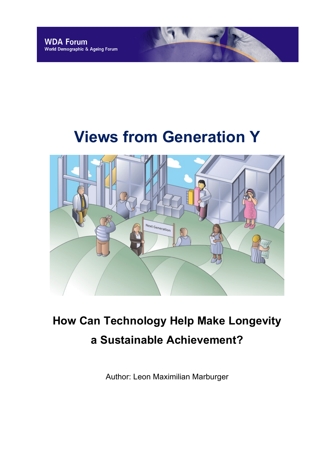# **Views from Generation Y**



# **How Can Technology Help Make Longevity a Sustainable Achievement?**

Author: Leon Maximilian Marburger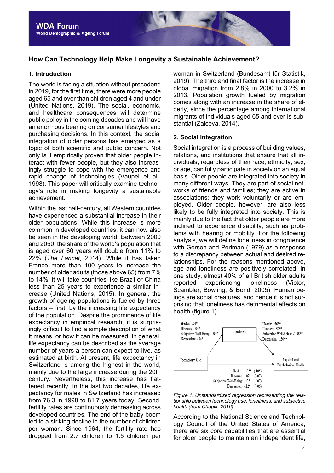# **How Can Technology Help Make Longevity a Sustainable Achievement?**

# **1. Introduction**

The world is facing a situation without precedent: in 2019, for the first time, there were more people aged 65 and over than children aged 4 and under (United Nations, 2019). The social, economic, and healthcare consequences will determine public policy in the coming decades and will have an enormous bearing on consumer lifestyles and purchasing decisions. In this context, the social integration of older persons has emerged as a topic of both scientific and public concern. Not only is it empirically proven that older people interact with fewer people, but they also increasingly struggle to cope with the emergence and rapid change of technologies (Vaupel et al., 1998). This paper will critically examine technology's role in making longevity a sustainable achievement.

Within the last half-century, all Western countries have experienced a substantial increase in their older populations. While this increase is more common in developed countries, it can now also be seen in the developing world. Between 2000 and 2050, the share of the world's population that is aged over 60 years will double from 11% to 22% (*The Lancet*, 2014). While it has taken France more than 100 years to increase the number of older adults (those above 65) from 7% to 14%, it will take countries like Brazil or China less than 25 years to experience a similar increase (United Nations, 2015). In general, the growth of ageing populations is fueled by three factors – first, by the increasing life expectancy of the population. Despite the prominence of life expectancy in empirical research, it is surprisingly difficult to find a simple description of what it means, or how it can be measured. In general, life expectancy can be described as the average number of years a person can expect to live, as estimated at birth. At present, life expectancy in Switzerland is among the highest in the world, mainly due to the large increase during the 20th century. Nevertheless, this increase has flattened recently. In the last two decades, life expectancy for males in Switzerland has increased from 76.3 in 1998 to 81.7 years today. Second, fertility rates are continuously decreasing across developed countries. The end of the baby boom led to a striking decline in the number of children per woman. Since 1964, the fertility rate has dropped from 2.7 children to 1.5 children per woman in Switzerland (Bundesamt für Statistik, 2019). The third and final factor is the increase in global migration from 2.8% in 2000 to 3.2% in 2013. Population growth fueled by migration comes along with an increase in the share of elderly, since the percentage among international migrants of individuals aged 65 and over is substantial (Zaiceva, 2014).

# **2. Social integration**

Social integration is a process of building values. relations, and institutions that ensure that all individuals, regardless of their race, ethnicity, sex, or age, can fully participate in society on an equal basis. Older people are integrated into society in many different ways. They are part of social networks of friends and families; they are active in associations; they work voluntarily or are employed. Older people, however, are also less likely to be fully integrated into society. This is mainly due to the fact that older people are more inclined to experience disability, such as problems with hearing or mobility. For the following analysis, we will define loneliness in congruence with Gerson and Perlman (1979) as a response to a discrepancy between actual and desired relationships. For the reasons mentioned above, age and loneliness are positively correlated. In one study, almost 40% of all British older adults reported experiencing loneliness (Victor, Scambler, Bowling, & Bond, 2005). Human beings are social creatures, and hence it is not surprising that loneliness has detrimental effects on health (figure 1).





According to the National Science and Technology Council of the United States of America, there are six core capabilities that are essential for older people to maintain an independent life,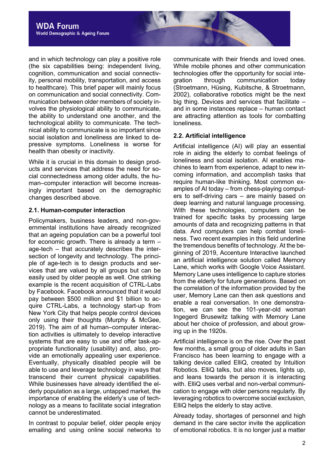

and in which technology can play a positive role (the six capabilities being: independent living, cognition, communication and social connectivity, personal mobility, transportation, and access to healthcare). This brief paper will mainly focus on communication and social connectivity. Communication between older members of society involves the physiological ability to communicate, the ability to understand one another, and the technological ability to communicate. The technical ability to communicate is so important since social isolation and loneliness are linked to depressive symptoms. Loneliness is worse for health than obesity or inactivity.

While it is crucial in this domain to design products and services that address the need for social connectedness among older adults, the human–computer interaction will become increasingly important based on the demographic changes described above.

# **2.1. Human-computer interaction**

Policymakers, business leaders, and non-governmental institutions have already recognized that an ageing population can be a powerful tool for economic growth. There is already a term – age-tech – that accurately describes the intersection of longevity and technology. The principle of age-tech is to design products and services that are valued by all groups but can be easily used by older people as well. One striking example is the recent acquisition of CTRL-Labs by Facebook. Facebook announced that it would pay between \$500 million and \$1 billion to acquire CTRL-Labs, a technology start-up from New York City that helps people control devices only using their thoughts (Murphy & McGee, 2019). The aim of all human–computer interaction activities is ultimately to develop interactive systems that are easy to use and offer task-appropriate functionality (usability) and, also, provide an emotionally appealing user experience. Eventually, physically disabled people will be able to use and leverage technology in ways that transcend their current physical capabilities. While businesses have already identified the elderly population as a large, untapped market, the importance of enabling the elderly's use of technology as a means to facilitate social integration cannot be underestimated.

In contrast to popular belief, older people enjoy emailing and using online social networks to communicate with their friends and loved ones. While mobile phones and other communication technologies offer the opportunity for social integration through communication today (Stroetmann, Hüsing, Kubitsche, & Stroetmann, 2002), collaborative robotics might be the next big thing. Devices and services that facilitate – and in some instances replace – human contact are attracting attention as tools for combatting loneliness.

# **2.2. Artificial intelligence**

Artificial intelligence (AI) will play an essential role in aiding the elderly to combat feelings of loneliness and social isolation. AI enables machines to learn from experience, adapt to new incoming information, and accomplish tasks that require human-like thinking. Most common examples of AI today – from chess-playing computers to self-driving cars – are mainly based on deep learning and natural language processing. With these technologies, computers can be trained for specific tasks by processing large amounts of data and recognizing patterns in that data. And computers can help combat loneliness. Two recent examples in this field underline the tremendous benefits of technology. At the beginning of 2019, Accenture Interactive launched an artificial intelligence solution called Memory Lane, which works with Google Voice Assistant. Memory Lane uses intelligence to capture stories from the elderly for future generations. Based on the correlation of the information provided by the user, Memory Lane can then ask questions and enable a real conversation. In one demonstration, we can see the 101-year-old woman Ingegerd Brusewitz talking with Memory Lane about her choice of profession, and about growing up in the 1920s.

Artificial intelligence is on the rise. Over the past few months, a small group of older adults in San Francisco has been learning to engage with a talking device called ElliQ, created by Intuition Robotics. ElliQ talks, but also moves, lights up, and leans towards the person it is interacting with. ElliQ uses verbal and non-verbal communication to engage with older persons regularly. By leveraging robotics to overcome social exclusion, ElliQ helps the elderly to stay active.

Already today, shortages of personnel and high demand in the care sector invite the application of emotional robotics. It is no longer just a matter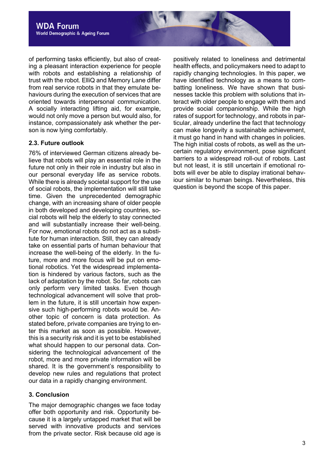of performing tasks efficiently, but also of creating a pleasant interaction experience for people with robots and establishing a relationship of trust with the robot. ElliQ and Memory Lane differ from real service robots in that they emulate behaviours during the execution of services that are oriented towards interpersonal communication. A socially interacting lifting aid, for example, would not only move a person but would also, for instance, compassionately ask whether the person is now lying comfortably.

# **2.3. Future outlook**

76% of interviewed German citizens already believe that robots will play an essential role in the future not only in their role in industry but also in our personal everyday life as service robots. While there is already societal support for the use of social robots, the implementation will still take time. Given the unprecedented demographic change, with an increasing share of older people in both developed and developing countries, social robots will help the elderly to stay connected and will substantially increase their well-being. For now, emotional robots do not act as a substitute for human interaction. Still, they can already take on essential parts of human behaviour that increase the well-being of the elderly. In the future, more and more focus will be put on emotional robotics. Yet the widespread implementation is hindered by various factors, such as the lack of adaptation by the robot. So far, robots can only perform very limited tasks. Even though technological advancement will solve that problem in the future, it is still uncertain how expensive such high-performing robots would be. Another topic of concern is data protection. As stated before, private companies are trying to enter this market as soon as possible. However, this is a security risk and it is yet to be established what should happen to our personal data. Considering the technological advancement of the robot, more and more private information will be shared. It is the government's responsibility to develop new rules and regulations that protect our data in a rapidly changing environment.

# **3. Conclusion**

The major demographic changes we face today offer both opportunity and risk. Opportunity because it is a largely untapped market that will be served with innovative products and services from the private sector. Risk because old age is

positively related to loneliness and detrimental health effects, and policymakers need to adapt to rapidly changing technologies. In this paper, we have identified technology as a means to combatting loneliness. We have shown that businesses tackle this problem with solutions that interact with older people to engage with them and provide social companionship. While the high rates of support for technology, and robots in particular, already underline the fact that technology can make longevity a sustainable achievement, it must go hand in hand with changes in policies. The high initial costs of robots, as well as the uncertain regulatory environment, pose significant barriers to a widespread roll-out of robots. Last but not least, it is still uncertain if emotional robots will ever be able to display irrational behaviour similar to human beings. Nevertheless, this question is beyond the scope of this paper.